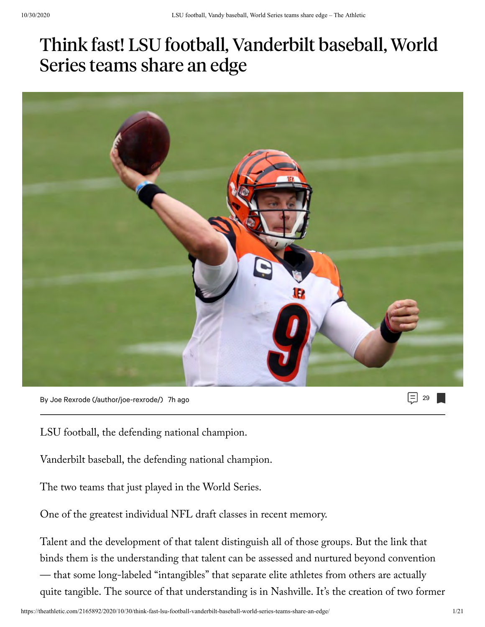# Think fast! LSU football, Vanderbilt baseball, World Series teams share an edge



29 [By Joe Rexrode \(/author/joe-rexrode/\)](https://theathletic.com/author/joe-rexrode/) 7h ago

LSU football, the defending national champion.

Vanderbilt baseball, the defending national champion.

The two teams that just played in the World Series.

One of the greatest individual NFL draft classes in recent memory.

Talent and the development of that talent distinguish all of those groups. But the link that binds them is the understanding that talent can be assessed and nurtured beyond convention — that some long-labeled "intangibles" that separate elite athletes from others are actually quite tangible. The source of that understanding is in Nashville. It's the creation of two former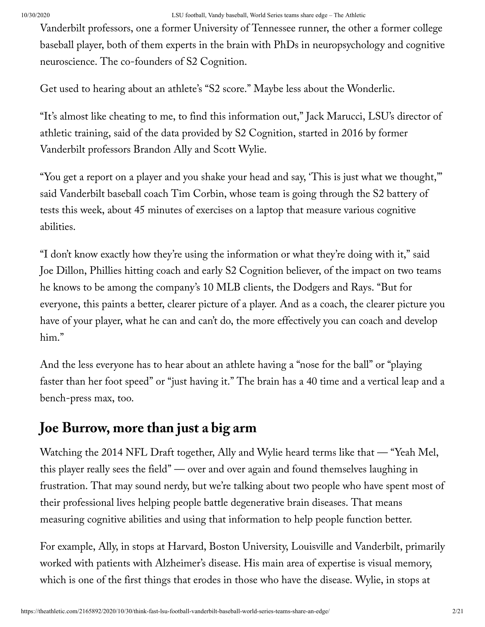Vanderbilt professors, one a former University of Tennessee runner, the other a former college baseball player, both of them experts in the brain with PhDs in neuropsychology and cognitive neuroscience. The co-founders of S2 Cognition.

Get used to hearing about an athlete's "S2 score." Maybe less about the Wonderlic.

"It's almost like cheating to me, to find this information out," Jack Marucci, LSU's director of athletic training, said of the data provided by S2 Cognition, started in 2016 by former Vanderbilt professors Brandon Ally and Scott Wylie.

"You get a report on a player and you shake your head and say, 'This is just what we thought,'" said Vanderbilt baseball coach Tim Corbin, whose team is going through the S2 battery of tests this week, about 45 minutes of exercises on a laptop that measure various cognitive abilities.

"I don't know exactly how they're using the information or what they're doing with it," said Joe Dillon, Phillies hitting coach and early S2 Cognition believer, of the impact on two teams he knows to be among the company's 10 MLB clients, the Dodgers and Rays. "But for everyone, this paints a better, clearer picture of a player. And as a coach, the clearer picture you have of your player, what he can and can't do, the more effectively you can coach and develop him."

And the less everyone has to hear about an athlete having a "nose for the ball" or "playing faster than her foot speed" or "just having it." The brain has a 40 time and a vertical leap and a bench-press max, too.

### **Joe Burrow, more than just a big arm**

Watching the 2014 NFL Draft together, Ally and Wylie heard terms like that — "Yeah Mel, this player really sees the field" — over and over again and found themselves laughing in frustration. That may sound nerdy, but we're talking about two people who have spent most of their professional lives helping people battle degenerative brain diseases. That means measuring cognitive abilities and using that information to help people function better.

For example, Ally, in stops at Harvard, Boston University, Louisville and Vanderbilt, primarily worked with patients with Alzheimer's disease. His main area of expertise is visual memory, which is one of the first things that erodes in those who have the disease. Wylie, in stops at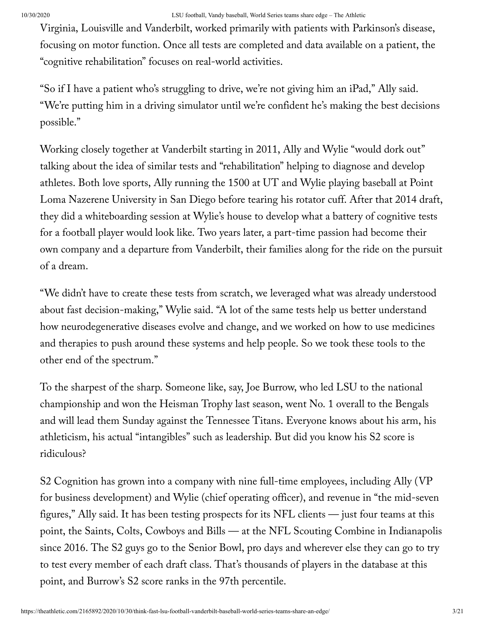Virginia, Louisville and Vanderbilt, worked primarily with patients with Parkinson's disease, focusing on motor function. Once all tests are completed and data available on a patient, the "cognitive rehabilitation" focuses on real-world activities.

"So if I have a patient who's struggling to drive, we're not giving him an iPad," Ally said. "We're putting him in a driving simulator until we're confident he's making the best decisions possible."

Working closely together at Vanderbilt starting in 2011, Ally and Wylie "would dork out" talking about the idea of similar tests and "rehabilitation" helping to diagnose and develop athletes. Both love sports, Ally running the 1500 at UT and Wylie playing baseball at Point Loma Nazerene University in San Diego before tearing his rotator cuff. After that 2014 draft, they did a whiteboarding session at Wylie's house to develop what a battery of cognitive tests for a football player would look like. Two years later, a part-time passion had become their own company and a departure from Vanderbilt, their families along for the ride on the pursuit of a dream.

"We didn't have to create these tests from scratch, we leveraged what was already understood about fast decision-making," Wylie said. "A lot of the same tests help us better understand how neurodegenerative diseases evolve and change, and we worked on how to use medicines and therapies to push around these systems and help people. So we took these tools to the other end of the spectrum."

To the sharpest of the sharp. Someone like, say, Joe Burrow, who led LSU to the national championship and won the Heisman Trophy last season, went No. 1 overall to the Bengals and will lead them Sunday against the Tennessee Titans. Everyone knows about his arm, his athleticism, his actual "intangibles" such as leadership. But did you know his S2 score is ridiculous?

S2 Cognition has grown into a company with nine full-time employees, including Ally (VP for business development) and Wylie (chief operating officer), and revenue in "the mid-seven figures," Ally said. It has been testing prospects for its NFL clients — just four teams at this point, the Saints, Colts, Cowboys and Bills — at the NFL Scouting Combine in Indianapolis since 2016. The S2 guys go to the Senior Bowl, pro days and wherever else they can go to try to test every member of each draft class. That's thousands of players in the database at this point, and Burrow's S2 score ranks in the 97th percentile.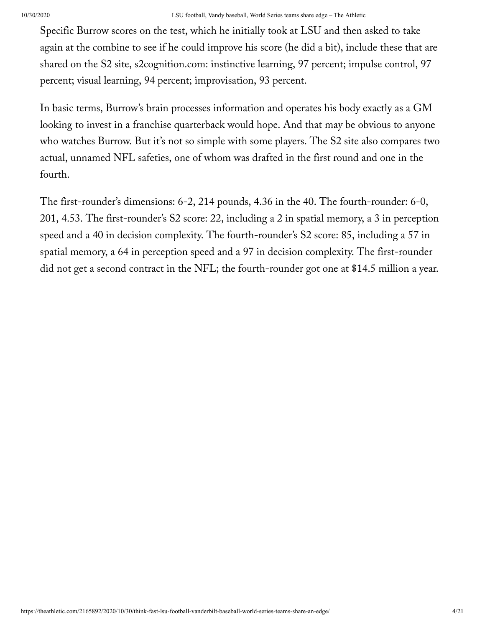Specific Burrow scores on the test, which he initially took at LSU and then asked to take again at the combine to see if he could improve his score (he did a bit), include these that are shared on the S2 site, s2cognition.com: instinctive learning, 97 percent; impulse control, 97 percent; visual learning, 94 percent; improvisation, 93 percent.

In basic terms, Burrow's brain processes information and operates his body exactly as a GM looking to invest in a franchise quarterback would hope. And that may be obvious to anyone who watches Burrow. But it's not so simple with some players. The S2 site also compares two actual, unnamed NFL safeties, one of whom was drafted in the first round and one in the fourth.

The first-rounder's dimensions: 6-2, 214 pounds, 4.36 in the 40. The fourth-rounder: 6-0, 201, 4.53. The first-rounder's S2 score: 22, including a 2 in spatial memory, a 3 in perception speed and a 40 in decision complexity. The fourth-rounder's S2 score: 85, including a 57 in spatial memory, a 64 in perception speed and a 97 in decision complexity. The first-rounder did not get a second contract in the NFL; the fourth-rounder got one at \$14.5 million a year.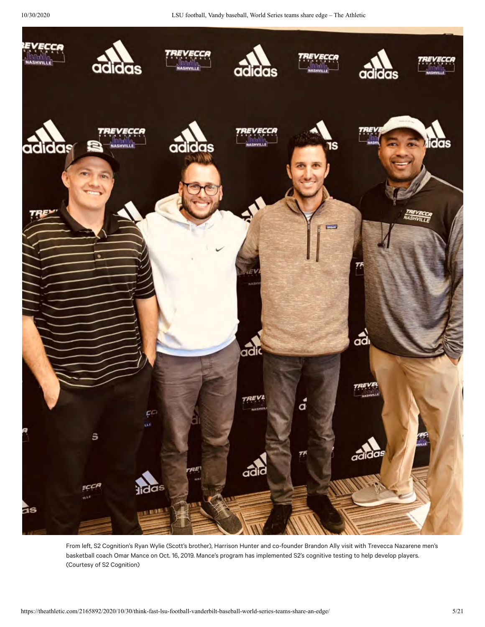

From left, S2 Cognition's Ryan Wylie (Scott's brother), Harrison Hunter and co-founder Brandon Ally visit with Trevecca Nazarene men's<br>basketball coach Omar Mance on Oct. 16, 2019. Mance's program has implemented S2's cogn basketball coach Omar Mance on Oct. 16, 2019. Mance's program has implemented S2's cognitive testing to help develop players. (Courtesy of S2 Cognition)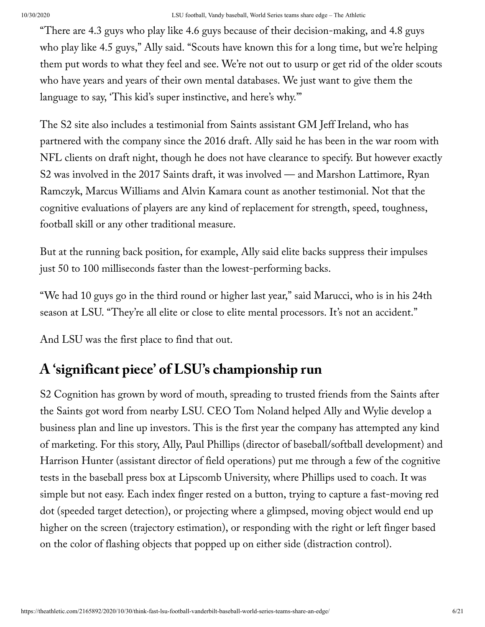"There are 4.3 guys who play like 4.6 guys because of their decision-making, and 4.8 guys who play like 4.5 guys," Ally said. "Scouts have known this for a long time, but we're helping them put words to what they feel and see. We're not out to usurp or get rid of the older scouts who have years and years of their own mental databases. We just want to give them the language to say, 'This kid's super instinctive, and here's why.'"

The S2 site also includes a testimonial from Saints assistant GM Jeff Ireland, who has partnered with the company since the 2016 draft. Ally said he has been in the war room with NFL clients on draft night, though he does not have clearance to specify. But however exactly S2 was involved in the 2017 Saints draft, it was involved — and Marshon Lattimore, Ryan Ramczyk, Marcus Williams and Alvin Kamara count as another testimonial. Not that the cognitive evaluations of players are any kind of replacement for strength, speed, toughness, football skill or any other traditional measure.

But at the running back position, for example, Ally said elite backs suppress their impulses just 50 to 100 milliseconds faster than the lowest-performing backs.

"We had 10 guys go in the third round or higher last year," said Marucci, who is in his 24th season at LSU. "They're all elite or close to elite mental processors. It's not an accident."

And LSU was the first place to find that out.

## **A 'significant piece' of LSU's championship run**

S2 Cognition has grown by word of mouth, spreading to trusted friends from the Saints after the Saints got word from nearby LSU. CEO Tom Noland helped Ally and Wylie develop a business plan and line up investors. This is the first year the company has attempted any kind of marketing. For this story, Ally, Paul Phillips (director of baseball/softball development) and Harrison Hunter (assistant director of field operations) put me through a few of the cognitive tests in the baseball press box at Lipscomb University, where Phillips used to coach. It was simple but not easy. Each index finger rested on a button, trying to capture a fast-moving red dot (speeded target detection), or projecting where a glimpsed, moving object would end up higher on the screen (trajectory estimation), or responding with the right or left finger based on the color of flashing objects that popped up on either side (distraction control).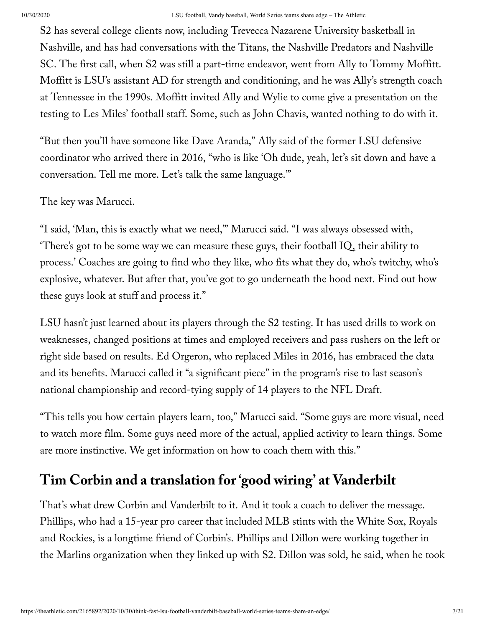S2 has several college clients now, including Trevecca Nazarene University basketball in Nashville, and has had conversations with the Titans, the Nashville Predators and Nashville SC. The first call, when S2 was still a part-time endeavor, went from Ally to Tommy Moffitt. Moffitt is LSU's assistant AD for strength and conditioning, and he was Ally's strength coach at Tennessee in the 1990s. Moffitt invited Ally and Wylie to come give a presentation on the testing to Les Miles' football staff. Some, such as John Chavis, wanted nothing to do with it.

"But then you'll have someone like Dave Aranda," Ally said of the former LSU defensive coordinator who arrived there in 2016, "who is like 'Oh dude, yeah, let's sit down and have a conversation. Tell me more. Let's talk the same language.'"

The key was Marucci.

"I said, 'Man, this is exactly what we need,'" Marucci said. "I was always obsessed with, 'There's got to be some way we can measure these guys, their football  $IQ$ , their ability to process.' Coaches are going to find who they like, who fits what they do, who's twitchy, who's explosive, whatever. But after that, you've got to go underneath the hood next. Find out how these guys look at stuff and process it."

LSU hasn't just learned about its players through the S2 testing. It has used drills to work on weaknesses, changed positions at times and employed receivers and pass rushers on the left or right side based on results. Ed Orgeron, who replaced Miles in 2016, has embraced the data and its benefits. Marucci called it "a significant piece" in the program's rise to last season's national championship and record-tying supply of 14 players to the NFL Draft.

"This tells you how certain players learn, too," Marucci said. "Some guys are more visual, need to watch more film. Some guys need more of the actual, applied activity to learn things. Some are more instinctive. We get information on how to coach them with this."

# **Tim Corbin and a translation for 'good wiring' at Vanderbilt**

That's what drew Corbin and Vanderbilt to it. And it took a coach to deliver the message. Phillips, who had a 15-year pro career that included MLB stints with the White Sox, Royals and Rockies, is a longtime friend of Corbin's. Phillips and Dillon were working together in the Marlins organization when they linked up with S2. Dillon was sold, he said, when he took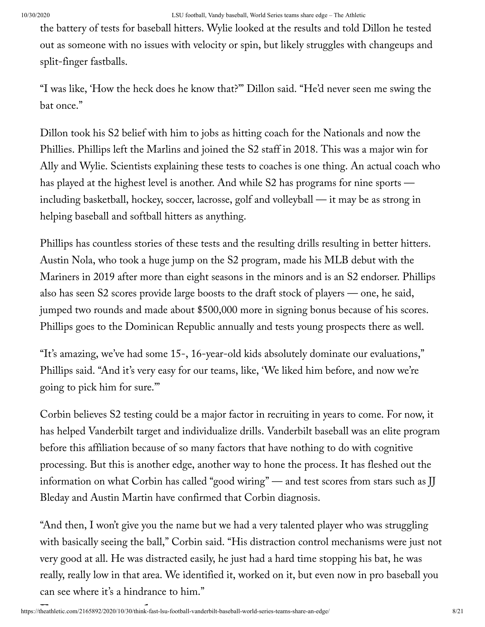the battery of tests for baseball hitters. Wylie looked at the results and told Dillon he tested out as someone with no issues with velocity or spin, but likely struggles with changeups and split-finger fastballs.

"I was like, 'How the heck does he know that?'" Dillon said. "He'd never seen me swing the bat once."

Dillon took his S2 belief with him to jobs as hitting coach for the Nationals and now the Phillies. Phillips left the Marlins and joined the S2 staff in 2018. This was a major win for Ally and Wylie. Scientists explaining these tests to coaches is one thing. An actual coach who has played at the highest level is another. And while S2 has programs for nine sports including basketball, hockey, soccer, lacrosse, golf and volleyball — it may be as strong in helping baseball and softball hitters as anything.

Phillips has countless stories of these tests and the resulting drills resulting in better hitters. Austin Nola, who took a huge jump on the S2 program, made his MLB debut with the Mariners in 2019 after more than eight seasons in the minors and is an S2 endorser. Phillips also has seen S2 scores provide large boosts to the draft stock of players — one, he said, jumped two rounds and made about \$500,000 more in signing bonus because of his scores. Phillips goes to the Dominican Republic annually and tests young prospects there as well.

"It's amazing, we've had some 15-, 16-year-old kids absolutely dominate our evaluations," Phillips said. "And it's very easy for our teams, like, 'We liked him before, and now we're going to pick him for sure.'"

Corbin believes S2 testing could be a major factor in recruiting in years to come. For now, it has helped Vanderbilt target and individualize drills. Vanderbilt baseball was an elite program before this affiliation because of so many factors that have nothing to do with cognitive processing. But this is another edge, another way to hone the process. It has fleshed out the information on what Corbin has called "good wiring" — and test scores from stars such as JJ Bleday and Austin Martin have confirmed that Corbin diagnosis.

"And then, I won't give you the name but we had a very talented player who was struggling with basically seeing the ball," Corbin said. "His distraction control mechanisms were just not very good at all. He was distracted easily, he just had a hard time stopping his bat, he was really, really low in that area. We identified it, worked on it, but even now in pro baseball you can see where it's a hindrance to him."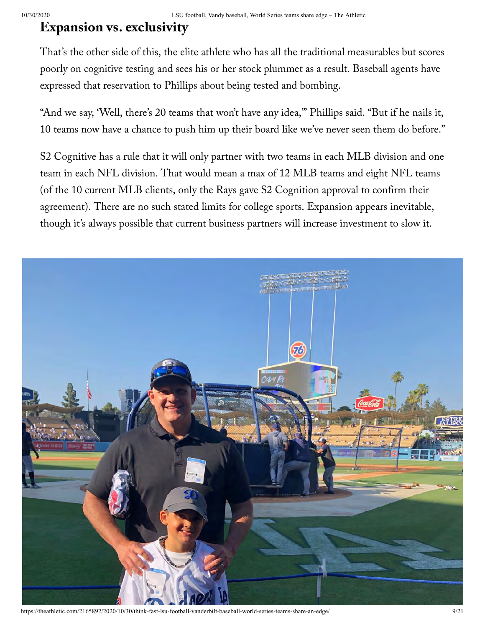### **Expansion vs. exclusivity**

That's the other side of this, the elite athlete who has all the traditional measurables but scores poorly on cognitive testing and sees his or her stock plummet as a result. Baseball agents have expressed that reservation to Phillips about being tested and bombing.

"And we say, 'Well, there's 20 teams that won't have any idea,'" Phillips said. "But if he nails it, 10 teams now have a chance to push him up their board like we've never seen them do before."

S2 Cognitive has a rule that it will only partner with two teams in each MLB division and one team in each NFL division. That would mean a max of 12 MLB teams and eight NFL teams (of the 10 current MLB clients, only the Rays gave S2 Cognition approval to confirm their agreement). There are no such stated limits for college sports. Expansion appears inevitable, though it's always possible that current business partners will increase investment to slow it.



https://theathletic.com/2165892/2020/10/30/think-fast-lsu-football-vanderbilt-baseball-world-series-teams-share-an-edge/ 9/21